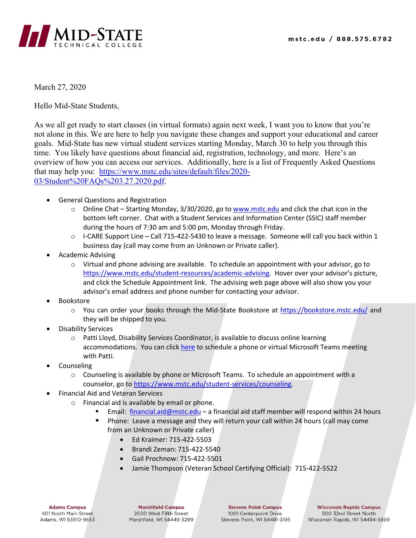

March 27, 2020

Hello Mid-State Students,

As we all get ready to start classes (in virtual formats) again next week, I want you to know that you're not alone in this. We are here to help you navigate these changes and support your educational and career goals. Mid-State has new virtual student services starting Monday, March 30 to help you through this time. You likely have questions about financial aid, registration, technology, and more. Here's an overview of how you can access our services. Additionally, here is a list of Frequently Asked Questions that may help you: [https://www.mstc.edu/sites/default/files/2020-](https://www.mstc.edu/sites/default/files/2020-03/Student%20FAQs%203.27.2020.pdf) [03/Student%20FAQs%203.27.2020.pdf.](https://www.mstc.edu/sites/default/files/2020-03/Student%20FAQs%203.27.2020.pdf)

- General Questions and Registration
	- o Online Chat Starting Monday, 3/30/2020, go to [www.mstc.edu](http://www.mstc.edu/) and click the chat icon in the bottom left corner. Chat with a Student Services and Information Center (SSIC) staff member during the hours of 7:30 am and 5:00 pm, Monday through Friday.
	- $\circ$  I-CARE Support Line Call 715-422-5430 to leave a message. Someone will call you back within 1 business day (call may come from an Unknown or Private caller).
- Academic Advising
	- $\circ$  Virtual and phone advising are available. To schedule an appointment with your advisor, go to [https://www.mstc.edu/student-resources/academic-advising.](https://www.mstc.edu/student-resources/academic-advising) Hover over your advisor's picture, and click the Schedule Appointment link. The advising web page above will also show you your advisor's email address and phone number for contacting your advisor.
- **Bookstore** 
	- o You can order your books through the Mid-State Bookstore at<https://bookstore.mstc.edu/> and they will be shipped to you.
- Disability Services
	- $\circ$  Patti Lloyd, Disability Services Coordinator, is available to discuss online learning accommodations. You can clic[k here](https://calendly.com/patti-lloyd) to schedule a phone or virtual Microsoft Teams meeting with Patti.
- **Counseling** 
	- $\circ$  Counseling is available by phone or Microsoft Teams. To schedule an appointment with a counselor, go to [https://www.mstc.edu/student-services/counseling.](https://www.mstc.edu/student-services/counseling)
- Financial Aid and Veteran Services
	- o Financial aid is available by email or phone.
		- Email: [financial.aid@mstc.edu](mailto:financial.aid@mstc.edu) a financial aid staff member will respond within 24 hours
		- Phone: Leave a message and they will return your call within 24 hours (call may come from an Unknown or Private caller)
			- Ed Kraimer: 715-422-5503
			- Brandi Zeman: 715-422-5540
			- Gail Prochnow: 715-422-5501
			- Jamie Thompson (Veteran School Certifying Official): 715-422-5522

**Adams Campus** 401 North Main Street Adams, WI 53910-9653

**Marshfield Campus** 2600 West Fifth Street Marshfield, WI 54449-3299

**Stevens Point Campus** 1001 Centerpoint Drive Stevens Point, WI 54481-3195

**Wisconsin Rapids Campus** 500 32nd Street North Wisconsin Rapids, WI 54494-5599